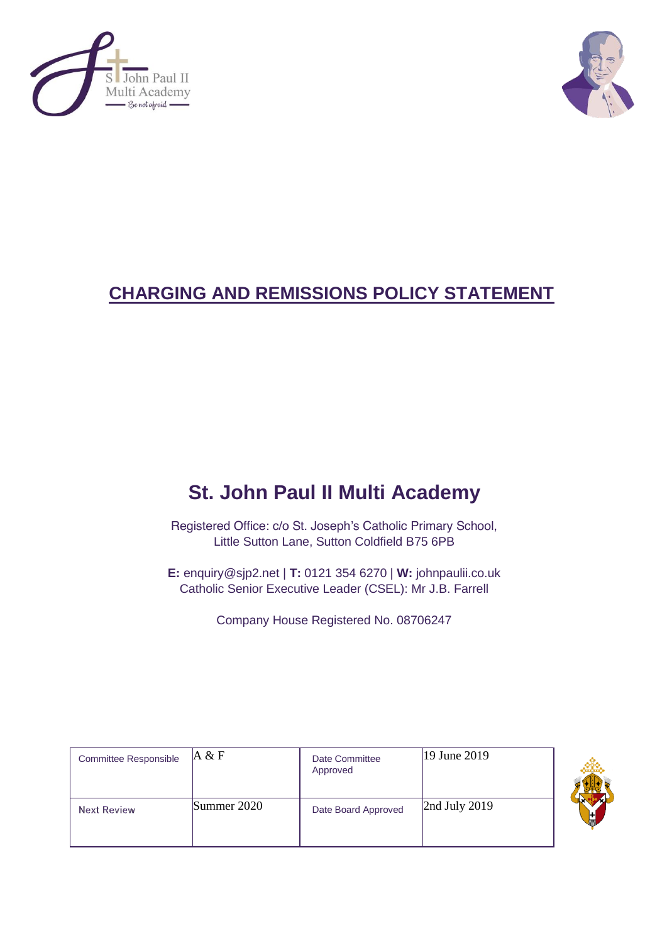



# **CHARGING AND REMISSIONS POLICY STATEMENT**

# **St. John Paul II Multi Academy**

Registered Office: c/o St. Joseph's Catholic Primary School, Little Sutton Lane, Sutton Coldfield B75 6PB

**E:** [enquiry@sjp2.net](mailto:enquiry@sjp2.net) | **T:** 0121 354 6270 | **W:** johnpaulii.co.uk Catholic Senior Executive Leader (CSEL): Mr J.B. Farrell

Company House Registered No. 08706247

| <b>Committee Responsible</b> | A & F       | Date Committee<br>Approved | 19 June 2019    | 넒 |
|------------------------------|-------------|----------------------------|-----------------|---|
| <b>Next Review</b>           | Summer 2020 | Date Board Approved        | $2nd$ July 2019 |   |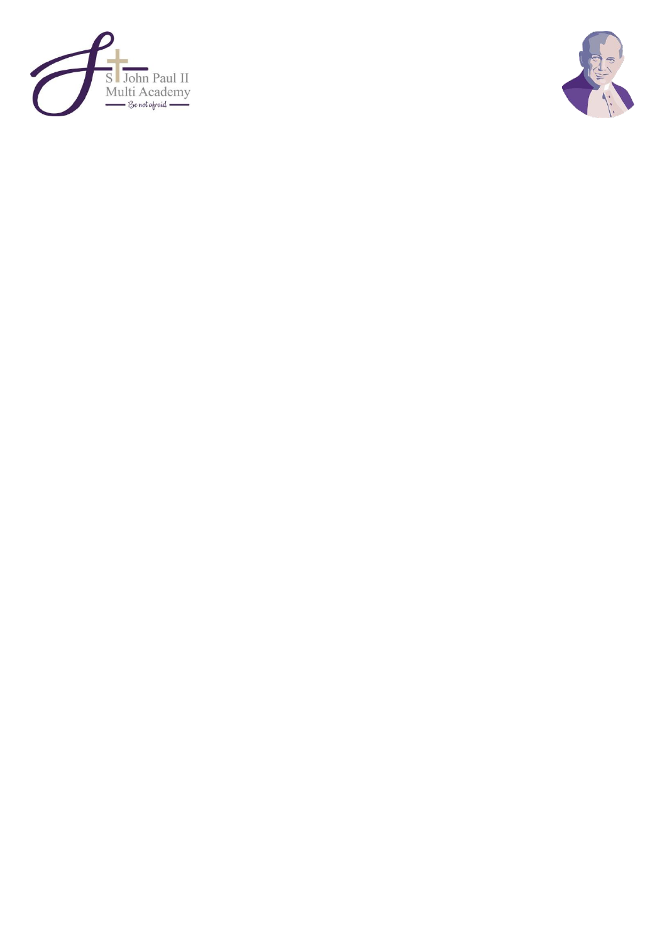

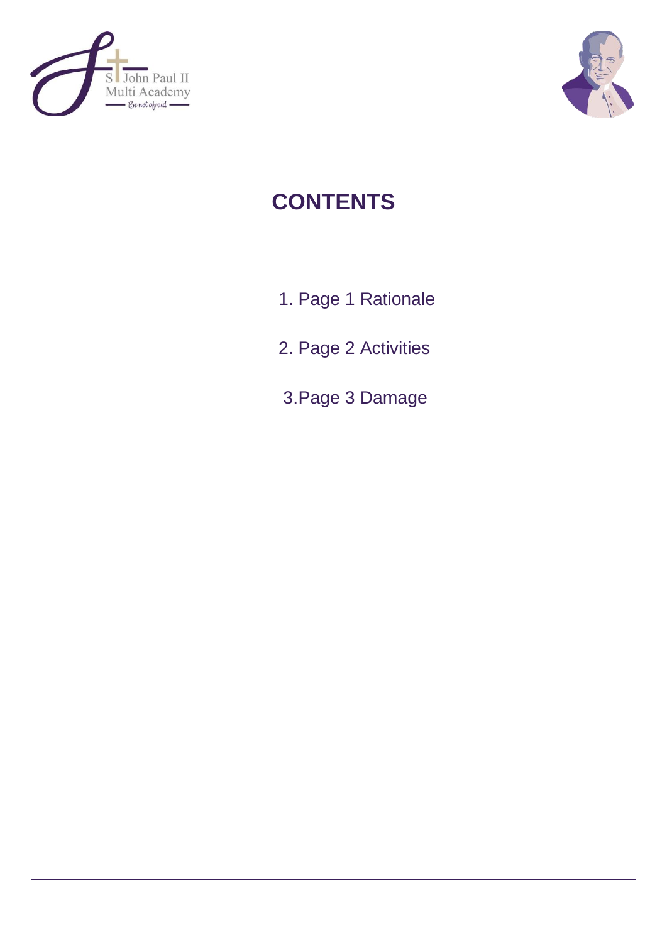



# **CONTENTS**

- 1. Page 1 Rationale
- 2. Page 2 Activities
- 3.Page 3 Damage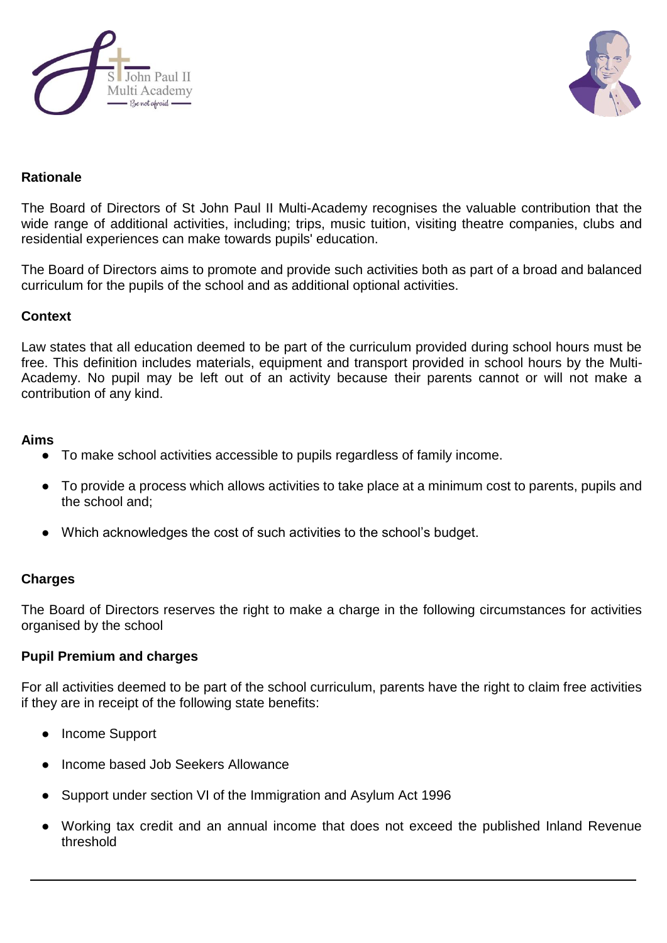



# **Rationale**

The Board of Directors of St John Paul II Multi-Academy recognises the valuable contribution that the wide range of additional activities, including; trips, music tuition, visiting theatre companies, clubs and residential experiences can make towards pupils' education.

The Board of Directors aims to promote and provide such activities both as part of a broad and balanced curriculum for the pupils of the school and as additional optional activities.

# **Context**

Law states that all education deemed to be part of the curriculum provided during school hours must be free. This definition includes materials, equipment and transport provided in school hours by the Multi-Academy. No pupil may be left out of an activity because their parents cannot or will not make a contribution of any kind.

## **Aims**

- To make school activities accessible to pupils regardless of family income.
- To provide a process which allows activities to take place at a minimum cost to parents, pupils and the school and;
- Which acknowledges the cost of such activities to the school's budget.

# **Charges**

The Board of Directors reserves the right to make a charge in the following circumstances for activities organised by the school

#### **Pupil Premium and charges**

For all activities deemed to be part of the school curriculum, parents have the right to claim free activities if they are in receipt of the following state benefits:

- Income Support
- Income based Job Seekers Allowance
- Support under section VI of the Immigration and Asylum Act 1996
- Working tax credit and an annual income that does not exceed the published Inland Revenue threshold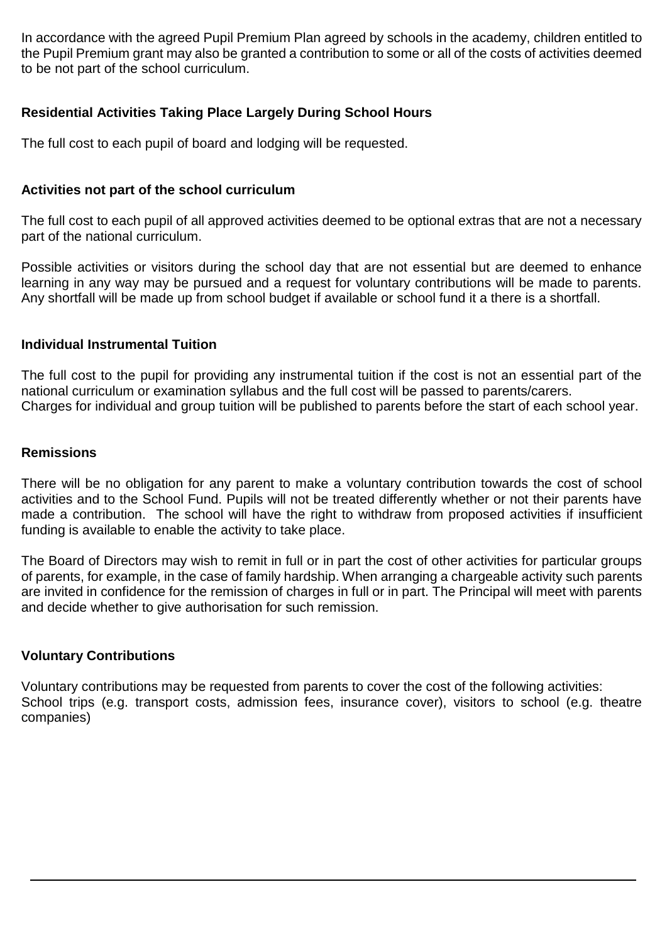In accordance with the agreed Pupil Premium Plan agreed by schools in the academy, children entitled to the Pupil Premium grant may also be granted a contribution to some or all of the costs of activities deemed to be not part of the school curriculum.

# **Residential Activities Taking Place Largely During School Hours**

The full cost to each pupil of board and lodging will be requested.

# **Activities not part of the school curriculum**

The full cost to each pupil of all approved activities deemed to be optional extras that are not a necessary part of the national curriculum.

Possible activities or visitors during the school day that are not essential but are deemed to enhance learning in any way may be pursued and a request for voluntary contributions will be made to parents. Any shortfall will be made up from school budget if available or school fund it a there is a shortfall.

## **Individual Instrumental Tuition**

The full cost to the pupil for providing any instrumental tuition if the cost is not an essential part of the national curriculum or examination syllabus and the full cost will be passed to parents/carers. Charges for individual and group tuition will be published to parents before the start of each school year.

## **Remissions**

There will be no obligation for any parent to make a voluntary contribution towards the cost of school activities and to the School Fund. Pupils will not be treated differently whether or not their parents have made a contribution. The school will have the right to withdraw from proposed activities if insufficient funding is available to enable the activity to take place.

The Board of Directors may wish to remit in full or in part the cost of other activities for particular groups of parents, for example, in the case of family hardship. When arranging a chargeable activity such parents are invited in confidence for the remission of charges in full or in part. The Principal will meet with parents and decide whether to give authorisation for such remission.

#### **Voluntary Contributions**

Voluntary contributions may be requested from parents to cover the cost of the following activities: School trips (e.g. transport costs, admission fees, insurance cover), visitors to school (e.g. theatre companies)